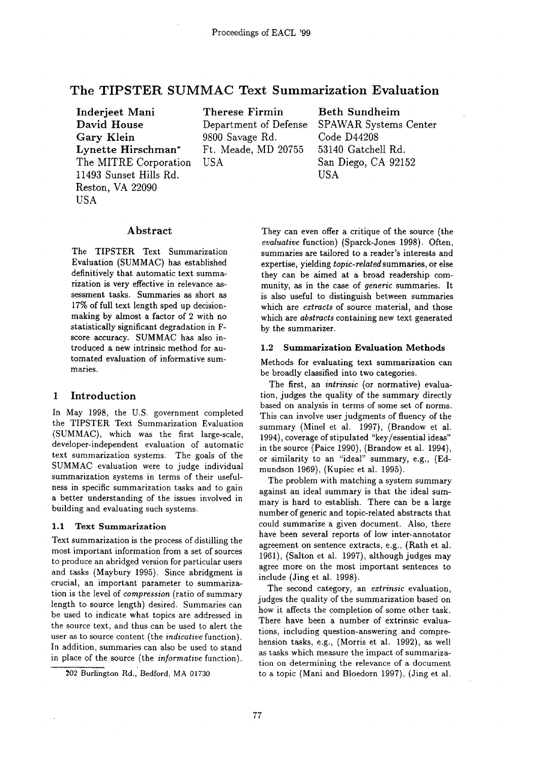# **The TIPSTER SUMMAC Text Summarization Evaluation**

**Inderjeet Mani David House Gary Klein**  Lynette Hirschman\* The MITRE Corporation 11493 Sunset Hills Rd. Reston, VA 22090 USA

Therese **Firmin**  Department of Defense 9800 Savage Rd. Ft. Meade, MD 20755 USA

**Beth Sundheim**  SPAWAR Systems Center Code D44208 53140 Gatchell Rd. San Diego, CA 92152 USA

# **Abstract**

The TIPSTER Text Summarization Evaluation (SUMMAC) has established definitively that automatic text summarization is very effective in relevance assessment tasks. Summaries as short as 17% of full text length sped up decisionmaking by almost a factor of 2 with no statistically significant degradation in Fscore accuracy. SUMMAC has also introduced a new intrinsic method for automated evaluation of informative summaries.

# 1 Introduction

In May 1998, the U.S. government completed the TIPSTER Text Summarization Evaluation (SUMMAC), which was the first large-scale, developer-independent evaluation of automatic text summarization systems. The goals of the SUMMAC evaluation were to judge individual summarization systems in terms of their usefulness in specific summarization tasks and to gain a better understanding of the issues involved in building and evaluating such systems.

### 1.1 Text **Summarization**

Text summarization is the process of distilling the most important information from a set of sources to produce an abridged version for particular users and tasks (Maybury 1995). Since abridgment is crucial, an important parameter to summarization is the level of *compression* (ratio of summary length to source length) desired. Summaries can be used to indicate what topics are addressed in the source text, and thus can be used to alert the user as to source content (the *indicative* function). In addition, summaries can also be used to stand in place of the source (the *informative* function).

202 Burlington Rd., Bedford, MA 01730

They can even offer a critique of the source (the *evaluative* function) (Sparck-Jones 1998). Often, summaries are tailored to a reader's interests and expertise, vielding *topic-related* summaries, or else they can be aimed at a broad readership community, as in the case of *generic* summaries. It is also useful to distinguish between summaries which are *extracts* of source material, and those which are *abstracts* containing new text generated by the summarizer.

### **1.2 Summarization Evaluation Methods**

Methods for evaluating text summarization can be broadly classified into two categories.

The first, an *intrinsic* (or normative) evaluation, judges the quality of the summary directly based on analysis in terms of some set of norms. This can involve user judgments of fluency of the summary (Minel et al. 1997), (Brandow et al. 1994), coverage of stipulated "key/essential ideas" in the source (Paice 1990), (Brandow et al. 1994), or similarity to an "ideal" summary, e.g., (Edmundson 1969), (Kupiec et al. 1995).

The problem with matching a system summary against an ideal summary is that the ideal summary is hard to establish. There can be a large number of generic and topic-related abstracts that could summarize a given document. Also, there have been several reports of low inter-annotator agreement on sentence extracts, e.g., (Rath et al. 1961), (Salton et al. 1997), although judges may agree more on the most important sentences to include (Jing et al. 1998).

The second category, an *extrinsic* evaluation, judges the quality of the summarization based on how it affects the completion of some other task. There have been a number of extrinsic evaluations, including question-answering and comprehension tasks, e.g., (Morris et al. 1992), as welt as tasks which measure the impact of summarization on determining the relevance of a document to a topic (Mani and Bloedorn 1997), (Jing et al.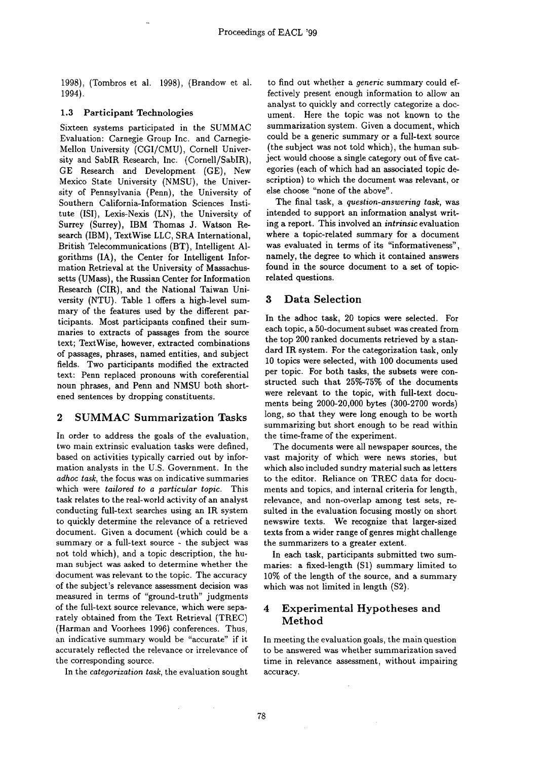1998), (Tombros et al. 1998), (Brandow et al. 1994).

### 1.3 Participant Technologies

Sixteen systems participated in the SUMMAC Evaluation: Carnegie Group Inc. and Carnegie-Mellon University (CGI/CMU), Cornell University and SablR Research, Inc. (Cornell/SabIR), GE Research and Development (GE), New Mexico State University (NMSU), the University of Pennsylvania (Penn), the University of Southern California-Information Sciences Institute (ISI), Lexis-Nexis (LN), the University of Surrey (Surrey), IBM Thomas J. Watson Research (IBM), TextWise LLC, SRA International, British Telecommunications (BT), Intelligent Algorithms (IA), the Center for Intelligent Information Retrieval at the University of Massachussetts (UMass), the Russian Center for Information Research (CIR), and the National Taiwan University (NTU). Table 1 offers a high-level summary of the features used by the different participants. Most participants confined their summaries to extracts of passages from the source text; TextWise, however, extracted combinations of passages, phrases, named entities, and subject fields. Two participants modified the extracted text: Penn replaced pronouns with coreferential noun phrases, and Penn and NMSU both shortened sentences by dropping constituents.

# 2 SUMMAC Summarization Tasks

In order to address the goals of the evaluation, two main extrinsic evaluation tasks were defined, based on activities typically carried out by information analysts in the U.S. Government. In the *adhoc task,* the focus was on indicative summaries which were *tailored to a particular topic.* This task relates to the real-world activity of an analyst conducting full-text searches using an IR system to quickly determine the relevance of a retrieved document. Given a document (which could be a summary or a full-text source - the subject was not told which), and a topic description, the human subject was asked to determine whether the document was relevant to the topic. The accuracy of the subject's relevance assessment decision was measured in terms of "ground-truth" judgments of the full-text source relevance, which were separately obtained from the Text Retrieval (TREC) (Harman and Voorhees 1996) conferences. Thus, an indicative summary would be "accurate" if it accurately reflected the relevance or irrelevance of the corresponding source.

In the *categorization task,* the evaluation sought

to find out whether a *generic* summary could effectively present enough information to allow an analyst to quickly and correctly categorize a document. Here the topic was not known to the summarization system. Given a document, which could be a generic summary or a full-text source (the subject was not told which), the human subject would choose a single category out of five categories (each of which had an associated topic description) to which the document was relevant, or else choose "none of the above".

The final task, a *question-answering task, was*  intended to support an information analyst writing a report. This involved an *intrinsic* evaluation where a topic-related summary for a document was evaluated in terms of its "informativeness", namely, the degree to which it contained answers found in the source document to a set of topicrelated questions.

# 3 Data Selection

In the adhoc task, 20 topics were selected. For each topic, a 50-document subset was created from the top 200 ranked documents retrieved by a standard IR system. For the categorization task, only 10 topics were selected, with 100 documents used per topic. For both tasks, the subsets were constructed such that 25%-75% of the documents were relevant to the topic, with full-text documents being 2000-20,000 bytes (300-2700 words) long, so that they were long enough to be worth summarizing but short enough to be read within the time-frame of the experiment.

The documents were all newspaper sources, the vast majority of which were news stories, but which also included sundry material such as letters to the editor. Reliance on TREC data for documents and topics, and internal criteria for length, relevance, and non-overlap among test sets, resulted in the evaluation focusing mostly on short newswire texts. We recognize that larger-sized texts from a wider range of genres might challenge the summarizers to a greater extent.

In each task, participants submitted two summaries: a fixed-length (S1) summary limited to 10% of the length of the source, and a summary which was not limited in length (S2).

# 4 Experimental Hypotheses and Method

In meeting the evaluation goals, the main question to be answered was whether summarization saved time in relevance assessment, without impairing accuracy.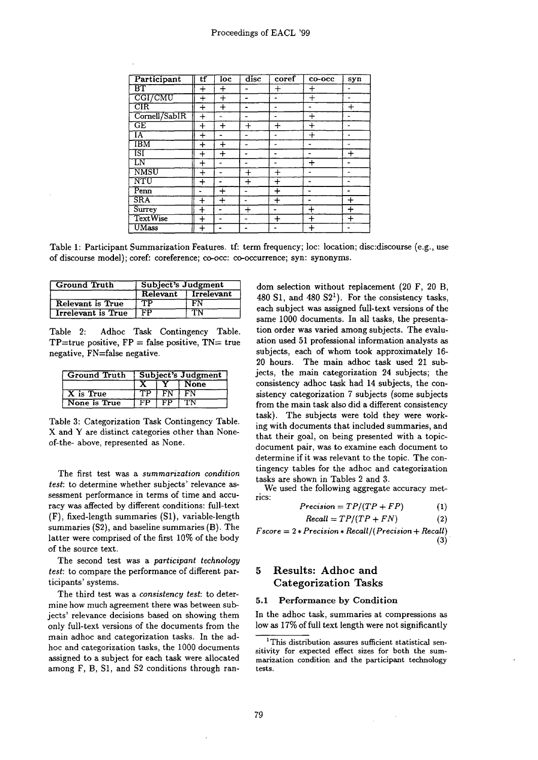| Participant                | $\mathbf{tf}$    | loc    | disc           | coref          | co-occ    | syn    |
|----------------------------|------------------|--------|----------------|----------------|-----------|--------|
| $_{\rm BT}$                | $\div$           | $\div$ |                | $^{+}$         | $\,$      |        |
| CGI/CMU                    | $\boldsymbol{+}$ | $^{+}$ | $\blacksquare$ | ٠              | $^{+}$    |        |
| $\overline{\text{CIR}}$    | $\div$           | $\div$ |                |                |           | $\div$ |
| Cornell/SabIR              | $\ddot{}$        |        | -              |                | $\div$    |        |
| $\overline{\texttt{GE}}$   | $\ddot{}$        | $\div$ | $+$            | $\div$         | $\div$    |        |
| IA                         | $\ddot{}$        |        |                |                | $\div$    |        |
| IBM                        | $+$              | $+$    |                |                |           |        |
| ΙSΙ                        | $\div$           | $\div$ |                |                |           | $\div$ |
| $\overline{\text{LN}}$     | $\div$           |        |                |                | $\div$    |        |
| $\overline{\mathrm{NMSU}}$ | $^+$             |        | $\pm$          | ┿              |           |        |
| $_{\rm NTU}$               | $\div$           |        | $\div$         | $\bm{+}$       |           | -      |
| Penn                       |                  | $\div$ |                | $\div$         |           |        |
| $\overline{\mathrm{SRA}}$  | $\div$           | $\div$ |                | $\overline{+}$ |           | $^{+}$ |
| Surrey                     | $\div$           | -      | $\div$         |                | $\div$    | $\div$ |
| <b>TextWise</b>            | $+$              |        |                | $\div$         | $\,{}^+$  | $\div$ |
| <b>UMass</b>               | $\div$           |        |                |                | $\ddot{}$ |        |

Table 1: Participant Summarization Features. tf: term frequency; loc: location; disc:discourse (e.g., use of discourse model); coref: coreference; co-occ: co-occurrence; syn: synonyms.

| <b>Ground Truth</b> | Subject's Judgment |                     |  |  |  |
|---------------------|--------------------|---------------------|--|--|--|
|                     |                    | Relevant Irrelevant |  |  |  |
| Relevant is True    | TP                 | <b>FN</b>           |  |  |  |
| Irrelevant is True  | FP                 | тN                  |  |  |  |

Table 2: Adhoc Task Contingency Table. TP=true positive,  $FP = false$  positive,  $TN = true$ negative, FN=false negative.

| Ground Truth | Subject's Judgment |  |      |  |  |  |
|--------------|--------------------|--|------|--|--|--|
|              |                    |  | None |  |  |  |
| X is True    |                    |  | FN.  |  |  |  |
| None is True |                    |  |      |  |  |  |

Table 3: Categorization Task Contingency Table. X and Y are distinct categories other than Noneof-the- above, represented as None.

The first test was a *summarization condition test:* to determine whether subjects' relevance assessment performance in terms of time and accuracy was affected by different conditions: full-text (F), fixed-length summaries (S1), variable-length summaries (\$2), and baseline summaries (B). The latter were comprised of the first 10% of the body of the source text.

The second test was a *participant technology test:* to compare the performance of different participants' systems.

The third test was a *consistency test:* to determine how much agreement there was between subjects' relevance decisions based on showing them only full-text versions of the documents from the main adhoc and categorization tasks. In the adhoc and categorization tasks, the 1000 documents assigned to a subject for each task were allocated among F, B, S1, and S2 conditions through ran-

dom selection without replacement (20 F, 20 B, 480 S1, and 480  $S2<sup>1</sup>$ ). For the consistency tasks, each subject was assigned full-text versions of the same 1000 documents. In all tasks, the presentation order was varied among subjects. The evaluation used 51 professional information analysts as subjects, each of whom took approximately 16- 20 hours. The main adhoc task used 21 subjects, the main categorization 24 subjects; the consistency adhoc task had 14 subjects, the consistency categorization 7 subjects (some subjects from the main task also did a different consistency task). The subjects were told they were working with documents that included summaries, and that their goal, on being presented with a topicdocument pair, was to examine each document to determine if it was relevant to the topic. The contingency tables for the adhoc and categorization tasks are shown in Tables 2 and 3.

We used the following aggregate accuracy metrics:

$$
Precision = TP/(TP + FP)
$$
 (1)

$$
Recall = TP/(TP + FN)
$$
 (2)

*Fscore = 2 • Precision • Recall/( Precision + Recall) (3)* 

# **5 Results: Adhoc and Categorization Tasks**

#### 5.1 Performance by **Condition**

In the adhoc task, summaries at compressions as low as 17% of full text length were not significantly

<sup>&</sup>lt;sup>1</sup>This distribution assures sufficient statistical sensitivity for expected effect sizes for both the summarization condition and the participant technology tests.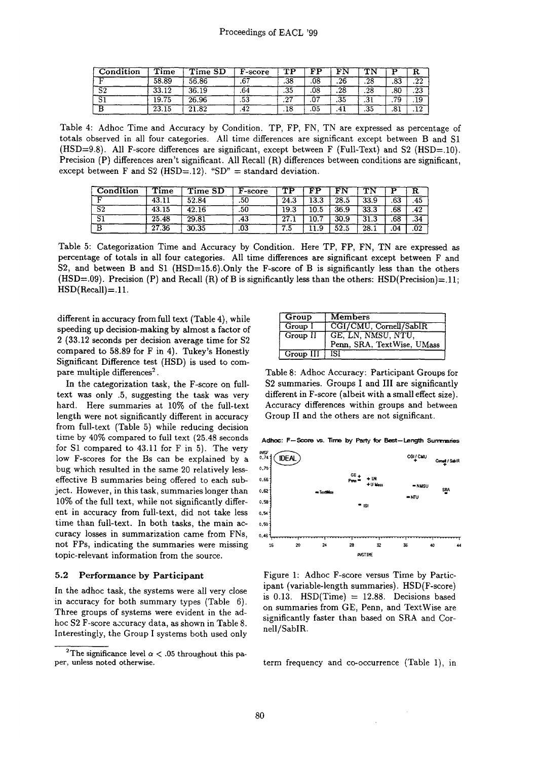| Condition | Time  | Time SD     | r-score    | $_{\rm TP}$ | FP  |     |                |                   | n       |
|-----------|-------|-------------|------------|-------------|-----|-----|----------------|-------------------|---------|
|           | 58.89 | 56.86       | .67        | .38         | .08 | .26 | .28            | .83               | Ωc<br>. |
| ے ب       | 33.12 | 36.19       | .64        | .35         | .08 | .28 | .28            | .80               | ഹ<br>ن، |
|           | 19.75 | 26.96       | . .<br>.აა | $\sim$<br>. | .07 | .35 | $\sim$<br>۰. ت | .79               | - 20    |
|           | 23.15 | 21.82<br>21 | .42        | .18         | .05 |     | .35            | $^{\circ}$<br>.01 |         |

Table 4: Adhoc Time and Accuracy by Condition. TP, FP, FN, TN are expressed as percentage of totals observed in all four categories. All time differences are significant except between B and S1 (HSD=9.8). All F-score differences are significant, except between F (Full-Text) and S2 (HSD=.10). Precision (P) differences aren't significant. All Recall (R) differences between conditions are significant, except between F and S2 (HSD=.12). "SD" = standard deviation.

| Condition | Time               | <b>Time SD</b> | r -score | TP      |      |      |      |     | л.  |
|-----------|--------------------|----------------|----------|---------|------|------|------|-----|-----|
|           | 43.11              | 52.84          | .50      | 24.3    | 13.3 | 28.5 | 33.9 | .63 | .45 |
| S2        | 43.15              | 42.16          | .50      | 19.3    | 10.5 | 36.9 | 33.3 | .68 | .42 |
|           | 25.48              | 29.81          | .43      | 27.1    | 10.7 | 30.9 | 31.3 | .68 | .34 |
|           | $27.\overline{36}$ | 30.35          | .03      | −<br>ن. | 11.9 | 52.5 | 28.1 | .04 | .02 |

Table 5: Categorization Time and Accuracy by Condition. Here TP, FP, FN, TN are expressed as percentage of totals in all four categories. All time differences are significant except between F and  $$2$ , and between B and S1 (HSD=15.6). Only the F-score of B is significantly less than the others  $(HSD=.09)$ . Precision (P) and Recall (R) of B is significantly less than the others: HSD(Precision)=.11;  $HSD(Recall)=.11.$ 

different in accuracy from full text (Table 4), while speeding up decision-making by almost a factor of 2 (33.12 seconds per decision average time for \$2 compared to 58.89 for F in 4). Tukey's Honestly Significant Difference test (HSD) is used to compare multiple differences<sup>2</sup>.

In the categorization task, the F-score on fulltext was only .5, suggesting the task was very hard. Here summaries at 10% of the full-text length were not significantly different in accuracy from full-text (Table 5) while reducing decision time by 40% compared to full text (25.48 seconds for \$1 compared to 43.11 for F in 5). The very low F-scores for the Bs can be explained by a bug which resulted in the same 20 relatively lesseffective B summaries being offered to each subject. However, in this task, summaries longer than 10% of the full text, while not significantly different in accuracy from full-text, did not take less time than full-text. In both tasks, the main accuracy losses in summarization came from FNs, not FPs, indicating the summaries were missing topic-relevant information from the source,

### 5.2 Performance by Participant

In the adhoc task, the systems were all very close in accuracy for both summary types (Table 6). Three groups of systems were evident in the adhoc \$2 F-score accuracy data, as shown in Table 8. Interestingly, the Group I systems both used only

| Group     | <b>Members</b>                                   |
|-----------|--------------------------------------------------|
| Group I   | CGI/CMU, Cornell/SabIR                           |
| Group II  | GE, LN, NMSU, NTU,<br>Penn, SRA, TextWise, UMass |
| Group III | ISI.                                             |

Table 8: Adhoc Accuracy: Participant Groups for S2 summaries. Groups I and III are significantly different in F-score (albeit with a small effect size). Accuracy differences within groups and between Group II and the others are not significant.

Adhoc: F-Score vs. Time by Party for Best-Length Summaries



Figure 1: Adhoc F-score versus Time by Participant (variable-length summaries). HSD(F-score) is 0.13. HSD(Time)  $= 12.88$ . Decisions based on summaries from GE, Penn, and TextWise are significantly faster than based on SRA and Cornell/SabIR.

term frequency and co-occurrence (Table 1), in

<sup>&</sup>lt;sup>2</sup>The significance level  $\alpha$  < .05 throughout this paper, unless noted otherwise.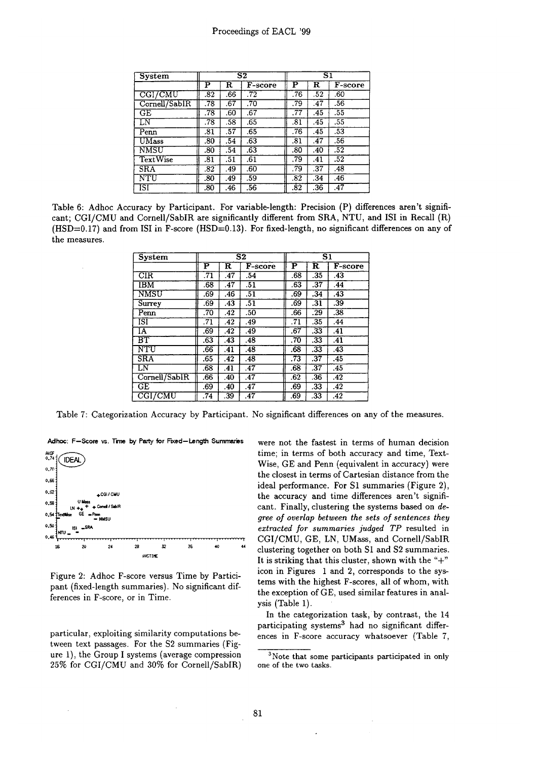| <b>System</b>          | $\overline{\mathbf{S2}}$ |     |         |                  | $\overline{\mathbf{S1}}$ |         |
|------------------------|--------------------------|-----|---------|------------------|--------------------------|---------|
|                        | $\overline{\mathbf{P}}$  | R   | F-score | P                | R                        | F-score |
| CGI/CMU                | .82                      | .66 | .72     | .76              | .52                      | .60     |
| Cornell/SabIR          | .78                      | .67 | .70     | .79              | .47                      | .56     |
| GE                     | .78                      | .60 | .67     | .77              | .45                      | .55     |
| $\overline{\text{LN}}$ | .78                      | .58 | .65     | .81              | .45                      | .55     |
| Penn                   | .81                      | .57 | .65     | .76              | .45                      | .53     |
| UMass                  | .80                      | .54 | .63     | $\overline{.81}$ | .47                      | .56     |
| NMSU                   | .80                      | .54 | .63     | .80              | .40                      | .52     |
| <b>Text Wise</b>       | .81                      | .51 | .61     | .79              | .41                      | .52     |
| <b>SRA</b>             | .82                      | .49 | .60     | .79              | .37                      | .48     |
| NTU                    | .80                      | .49 | .59     | .82              | .34                      | .46     |
| ĪŜĪ                    | .80                      | .46 | .56     | .82              | .36                      | .47     |

Table 6: Adhoc Accuracy by Participant. For variable-length: Precision (P) differences aren't significant; CGI/CMU and Cornell/SabIR are significantly different from SRA, NTU, and ISI in Recall (R) (HSD=0.17) and from ISI in F-score (HSD=0.13). For fixed-length, no significant differences on any of the measures.

| System                         |                         |     | $\overline{\textbf{S2}}$ |                         | $\overline{\mathbf{S1}}$ |                  |
|--------------------------------|-------------------------|-----|--------------------------|-------------------------|--------------------------|------------------|
|                                | $\overline{\mathbf{P}}$ | R   | F-score                  | $\overline{\mathbf{P}}$ | R                        | F-score          |
| $\overline{\text{CIR}}$        | $\overline{.71}$        | .47 | .54                      | .68                     | .35                      | .43              |
| IBM                            | .68                     | .47 | .51                      | .63                     | .37                      | .44              |
| NMSU                           | .69                     | .46 | .51                      | .69                     | .34                      | .43              |
| Surrey                         | .69                     | .43 | .51                      | .69                     | .31                      | .39              |
| Penn                           | .70                     | .42 | .50                      | .66                     | .29                      | $\overline{.38}$ |
| ISI                            | .71                     | .42 | .49                      | .71                     | .35                      | .44              |
| ĪĀ                             | .69                     | .42 | .49                      | .67                     | .33                      | .41              |
| $\overline{\operatorname{BT}}$ | .63                     | .43 | .48                      | .70                     | $\overline{.33}$         | $-41$            |
| $\overline{\text{NTU}}$        | .66                     | .41 | .48                      | .68                     | .33                      | .43              |
| <b>SRA</b>                     | .65                     | .42 | .48                      | .73                     | .37                      | .45              |
| LN                             | .68                     | .41 | .47                      | .68                     | .37                      | .45              |
| Cornell/SabIR                  | .66                     | .40 | .47                      | .62                     | .36                      | .42              |
| GE                             | .69                     | .40 | .47                      | .69                     | .33                      | .42              |
| CGI/CMU                        | .74                     | .39 | .47                      | .69                     | .33                      | .42              |

Table 7: Categorization Accuracy by Participant. No significant differences on any of the measures.







particular, exploiting similarity computations between text passages. For the S2 summaries (Figure 1), the Group I systems (average compression 25% for CGI/CMU and 30% for Cornell/SabIR)

were not the fastest in terms of human decision time; in terms of both accuracy and time, Text-Wise, GE and Penn (equivalent in accuracy) were the closest in terms of Cartesian distance from the ideal performance. For S1 summaries (Figure 2), the accuracy and time differences aren't significant. Finally, clustering the systems based on *degree of overlap between the sets of sentences they extracted for summaries judged TP* resulted in CGI/CMU, GE, LN, UMass, and Cornell/SabIR clustering together on both S1 and \$2 summaries. It is striking that this cluster, shown with the  $4 + 7$ icon in Figures 1 and 2, corresponds to the systems with the highest F-scores, all of whom, with the exception of GE, used similar features in analysis (Table 1).

In the categorization task, by contrast, the 14 participating systems<sup>3</sup> had no significant differences in F-score accuracy whatsoever (Table 7,

<sup>&</sup>lt;sup>3</sup>Note that some participants participated in only one of the two tasks.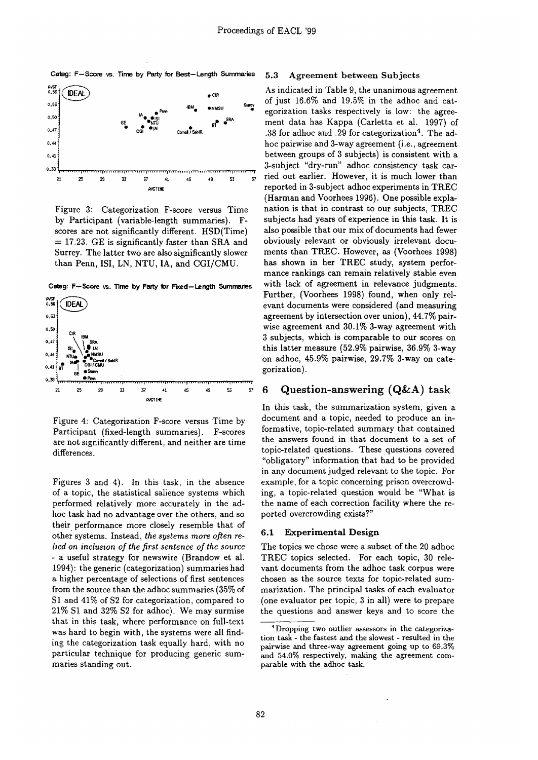Categ: F-Score vs. Time by Party for Best-Length Summaries



Figure 3: Categorization P-score versus Time by Participant (variable-length summaries). Fscores are not significantly different. HSD(Time)  $= 17.23$ . GE is significantly faster than SRA and Surrey. The latter two are also significantly slower than Penn, ISI, LN, NTU, IA, and CGI/CMU.

**Categ: F--Score vs. Time by Party for Fixed--Length Summaries** 



Figure 4: Categorization F-score versus Time by Participant (fixed-length summaries). F-scores are not significantly different, and neither are time differences.

Figures 3 and 4). In this task, in the absence of a topic, the statistical salience systems which performed relatively more accurately in the adhoc task had no advantage over the others, and so their performance more closely resemble that of other systems. Instead, *the systems more often relied on inclusion of the first sentence of the source*  **-** a useful strategy for newswire (Brandow et al. 1994): the generic (categorization) summaries had a higher percentage of selections of first sentences from the source than the adhoc summaries (35% of S1 and 41% of S2 for categorization, compared to 21% S1 and 32% \$2 for adhoc). We may surmise that in this task, where performance on full-text was hard to begin with, the systems were all finding the categorization task equally hard, with no particular technique for producing generic summaries standing out.

#### 5.3 Agreement between Subjects

As indicated in Table 9, the unanimous agreement of just 16.6% and 19.5% in the adhoc and categorization tasks respectively is low: the agreement data has Kappa (Carletta et al. 1997) of .38 for adhoc and .29 for categorization<sup>4</sup>. The adhoc pairwise and 3-way agreement (i.e., agreement between groups of 3 subjects) is consistent with a 3-subject "dry-run" adhoc consistency task carried out earlier. However, it is much lower than reported in 3-subject adhoc experiments in TREC (Harman and Voorhees 1996). One possible explanation is that in contrast to our subjects, TREC subjects had years of experience in this task. It is also possible that our mix of documents had fewer obviously relevant or obviously irrelevant documents than TREC. However, as (Voorhees 1998) has shown in her TREC study, system performance rankings can remain relatively stable even with lack of agreement in relevance judgments. Further, (Voorhees 1998) found, when only relevant documents were considered (and measuring agreement by intersection over union), 44.7% pairwise agreement and 30.1% 3-way agreement with 3 subjects, which is comparable to our scores on this latter measure (52.9% pairwise, 36.9% 3-way on adhoc, 45.9% pairwise, 29.7% 3-way on categorization).

### **6** Question-answering (Q&A) task

In this task, the summarization system, given a document and a topic, needed to produce an informative, topic-related summary that contained the answers found in that document to a set of topic-related questions. These questions covered "obligatory" information that had to be provided in any document judged relevant to the topic. For example, for a topic concerning prison overcrowding, a topic-related question would be "What is the name of each correction facility where the reported overcrowding exists?"

#### 6.1 Experimental Design

The topics we chose were a subset of the 20 adhoc TREC topics selected. For each topic, 30 relevant documents from the adhoc task corpus were chosen as the source texts for topic-related summarization. The principal tasks of each evaluator (one evaluator per topic, 3 in all) were to prepare the questions and answer keys and to score the

<sup>&</sup>lt;sup>4</sup>Dropping two outlier assessors in the categorization task - the fastest and the slowest - resulted in the pairwise and three-way agreement going up to 69.3% and 54.0% respectively, making the agreement comparable with the adhoc task.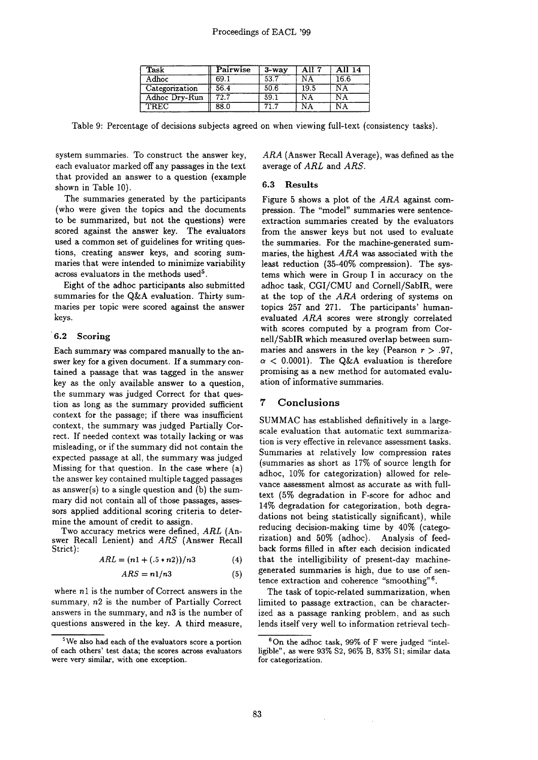| Task           | Pairwise          | $3$ -way | AII 7 | All 14 |
|----------------|-------------------|----------|-------|--------|
| Adhoc          | 69.1              | 53.7     | NΑ    | 16.6   |
| Categorization | 56.4              | 50.6     | 19.5  |        |
| Adhoc Dry-Run  | $\overline{72.7}$ | 59.1     | ΝA    | NΑ     |
| <b>TREC</b>    | 88.0              | 717      |       |        |

Table 9: Percentage of decisions subjects agreed on when viewing full-text (consistency tasks).

system summaries. To construct the answer key, each evaluator marked off any passages in the text that provided an answer to a question (example shown in Table 10).

The summaries generated by the participants (who were given the topics and the documents to be summarized, but not the questions) were scored against the answer key. The evaluators used a common set of guidelines for writing questions, creating answer keys, and scoring summaries that were intended to minimize variability across evaluators in the methods used<sup>5</sup>.

Eight of the adhoc participants also submitted summaries for the Q&A evaluation. Thirty summaries per topic were scored against the answer keys.

#### 6.2 Scoring

Each summary was compared manually to the answer key for a given document. If a summary contained a passage that was tagged in the answer key as the only available answer to a question, the summary was judged Correct for that question as long as the summary provided sufficient context for the passage; if there was insufficient context, the summary was judged Partially Correct. If needed context was totally lacking or was misleading, or if the summary did not contain the expected passage at all, the summary was judged Missing for that question. In the case where (a) the answer key contained multiple tagged passages as answer(s) to a single question and (b) the summary did not contain all of those passages, assessors applied additional scoring criteria to determine the amount of credit to assign.

Two accuracy metrics were defined, *ARL* (Answer Recall Lenient) and *ARS* (Answer Recall Strict):

$$
ARL = (n1 + (.5*n2))/n3 \tag{4}
$$

$$
ARS = n1/n3 \tag{5}
$$

where  $n!$  is the number of Correct answers in the summary, n2 is the number of Partially Correct answers in the summary, and  $n3$  is the number of questions answered in the key. A third measure,

*ARA* (Answer Recall Average), was defined as the average of *ARL* and *ARS.* 

#### **6.3 Results**

Figure 5 shows a plot of the *ARA* against compression. The "model" summaries were sentenceextraction summaries created by the evaluators from the answer keys but not used to evaluate the summaries. For the machine-generated summaries, the highest *ARA* was associated with the least reduction (35-40% compression). The systems which were in Group I in accuracy on the adhoc task, CGI/CMU and Cornell/SabIR, were at the top of the *ARA* ordering of systems on topics 257 and 271. The participants' humanevaluated *ARA* scores were strongly correlated with scores computed by a program from Cornell/SabIR which measured overlap between summaries and answers in the key (Pearson  $r > .97$ ,  $\alpha$  < 0.0001). The Q&A evaluation is therefore promising as a new method for automated evaluation of informative summaries.

### 7 Conclusions

SUMMAC has established definitively in a largescale evaluation that automatic text summarization is very effective in relevance assessment tasks. Summaries at relatively low compression rates (summaries as short as 17% of source length for adhoc, 10% for categorization) allowed for relevance assessment almost as accurate as with fulltext (5% degradation in F-score for adhoc and 14% degradation for categorization, both degradations not being statistically significant), while reducing decision-making time by 40% (categorization) and 50% (adhoc). Analysis of feedback forms filled in after each decision indicated that the intelligibility of present-day machinegenerated summaries is high, due to use of sentence extraction and coherence "smoothing"<sup>6</sup>.

The task of topic-related summarization, when limited to passage extraction, can be characterized as a passage ranking problem, and as such lends itself very well to information retrieval tech-

 $5$ We also had each of the evaluators score a portion of each others' test data; the scores across evaluators were very similar, with one exception.

 $6$ On the adhoc task, 99% of F were judged "intelligible", as were 93% \$2, 96% B, 83% S1; similar data for categorization.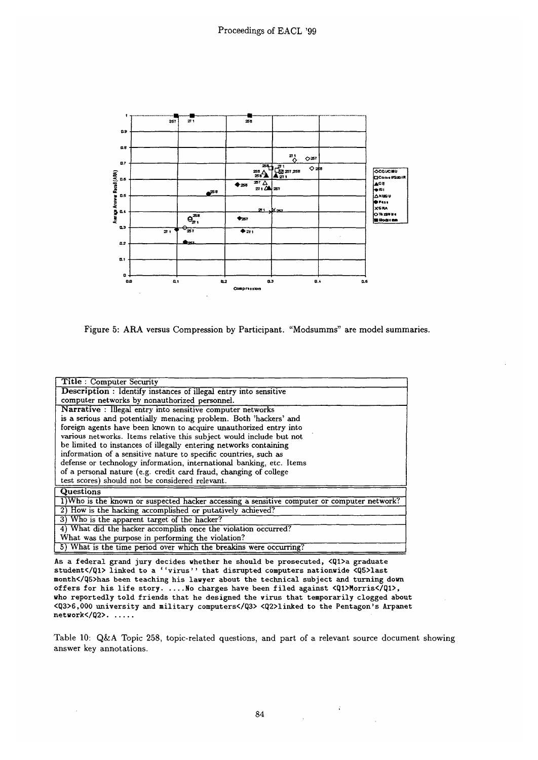

Figure 5: ARA versus Compression by Participant. "Modsumms" are model summaries.

| Title : Computer Security                                                                   |
|---------------------------------------------------------------------------------------------|
| Description : Identify instances of illegal entry into sensitive                            |
| computer networks by nonauthorized personnel.                                               |
| Narrative : Illegal entry into sensitive computer networks                                  |
| is a serious and potentially menacing problem. Both 'hackers' and                           |
| foreign agents have been known to acquire unauthorized entry into                           |
| various networks. Items relative this subject would include but not                         |
| be limited to instances of illegally entering networks containing                           |
| information of a sensitive nature to specific countries, such as                            |
| defense or technology information, international banking, etc. Items                        |
| of a personal nature (e.g. credit card fraud, changing of college                           |
| test scores) should not be considered relevant.                                             |
| <b>Questions</b>                                                                            |
| 1) Who is the known or suspected hacker accessing a sensitive computer or computer network? |
| 2) How is the hacking accomplished or putatively achieved?                                  |
| 3) Who is the apparent target of the hacker?                                                |
| 4) What did the hacker accomplish once the violation occurred?                              |
| What was the purpose in performing the violation?                                           |
| 5) What is the time period over which the breakins were occurring?                          |

As a federal grand jury decides whether he should be prosecuted, <Ql>a graduate student</Q1> linked to a "virus'' that disrupted computers nationwide <Q5>last month</Q5>has been teaching his lawyer about the technical subject and turning down offers for his life story. .... No charges have been filed against <Q1>Morris</Q1>, who reportedly told friends that he designed the virus *that* temporarily clogged about <q3>6,000 university and military computers</Q3> <Q2>linked to the Pentagon's Arpanet network</Q2>. .....

 $\cdot$ 

Table 10: Q&A Topic 258, topic-related questions, and part of a relevant source document showing answer key annotations.

 $\ddot{\cdot}$